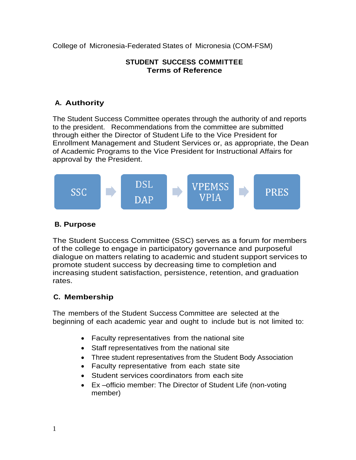College of Micronesia-Federated States of Micronesia (COM-FSM)

#### **STUDENT SUCCESS COMMITTEE Terms of Reference**

# **A. Authority**

The Student Success Committee operates through the authority of and reports to the president. Recommendations from the committee are submitted through either the Director of Student Life to the Vice President for Enrollment Management and Student Services or, as appropriate, the Dean of Academic Programs to the Vice President for Instructional Affairs for approval by the President.



### **B. Purpose**

The Student Success Committee (SSC) serves as a forum for members of the college to engage in participatory governance and purposeful dialogue on matters relating to academic and student support services to promote student success by decreasing time to completion and increasing student satisfaction, persistence, retention, and graduation rates.

# **C. Membership**

The members of the Student Success Committee are selected at the beginning of each academic year and ought to include but is not limited to:

- Faculty representatives from the national site
- Staff representatives from the national site
- Three student representatives from the Student Body Association
- Faculty representative from each state site
- Student services coordinators from each site
- Ex –officio member: The Director of Student Life (non-voting member)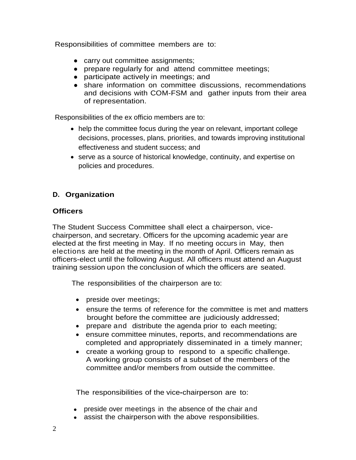Responsibilities of committee members are to:

- carry out committee assignments;
- prepare regularly for and attend committee meetings;
- participate actively in meetings; and
- share information on committee discussions, recommendations and decisions with COM-FSM and gather inputs from their area of representation.

Responsibilities of the ex officio members are to:

- help the committee focus during the year on relevant, important college decisions, processes, plans, priorities, and towards improving institutional effectiveness and student success; and
- serve as a source of historical knowledge, continuity, and expertise on policies and procedures.

# **D. Organization**

#### **Officers**

The Student Success Committee shall elect a chairperson, vicechairperson, and secretary. Officers for the upcoming academic year are elected at the first meeting in May. If no meeting occurs in May, then elections are held at the meeting in the month of April. Officers remain as officers-elect until the following August. All officers must attend an August training session upon the conclusion of which the officers are seated.

The responsibilities of the chairperson are to:

- preside over meetings;
- ensure the terms of reference for the committee is met and matters brought before the committee are judiciously addressed;
- prepare and distribute the agenda prior to each meeting;
- ensure committee minutes, reports, and recommendations are completed and appropriately disseminated in a timely manner;
- create a working group to respond to a specific challenge. A working group consists of a subset of the members of the committee and/or members from outside the committee.

The responsibilities of the vice**-**chairperson are to:

- preside over meetings in the absence of the chair and
- assist the chairperson with the above responsibilities.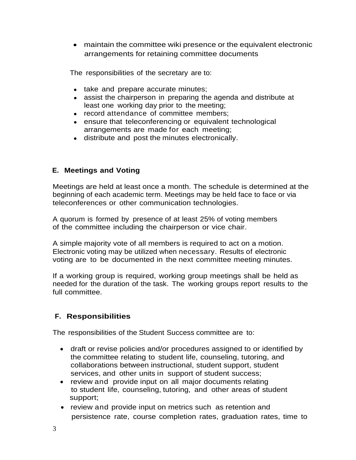maintain the committee wiki presence or the equivalent electronic arrangements for retaining committee documents

The responsibilities of the secretary are to:

- take and prepare accurate minutes;
- assist the chairperson in preparing the agenda and distribute at least one working day prior to the meeting;
- record attendance of committee members;
- ensure that teleconferencing or equivalent technological arrangements are made for each meeting;
- distribute and post the minutes electronically.

### **E. Meetings and Voting**

Meetings are held at least once a month. The schedule is determined at the beginning of each academic term. Meetings may be held face to face or via teleconferences or other communication technologies.

A quorum is formed by presence of at least 25% of voting members of the committee including the chairperson or vice chair.

A simple majority vote of all members is required to act on a motion. Electronic voting may be utilized when necessary. Results of electronic voting are to be documented in the next committee meeting minutes.

If a working group is required, working group meetings shall be held as needed for the duration of the task. The working groups report results to the full committee.

#### **F. Responsibilities**

The responsibilities of the Student Success committee are to:

- draft or revise policies and/or procedures assigned to or identified by the committee relating to student life, counseling, tutoring, and collaborations between instructional, student support, student services, and other units in support of student success;
- review and provide input on all major documents relating to student life, counseling, tutoring, and other areas of student support;
- review and provide input on metrics such as retention and persistence rate, course completion rates, graduation rates, time to